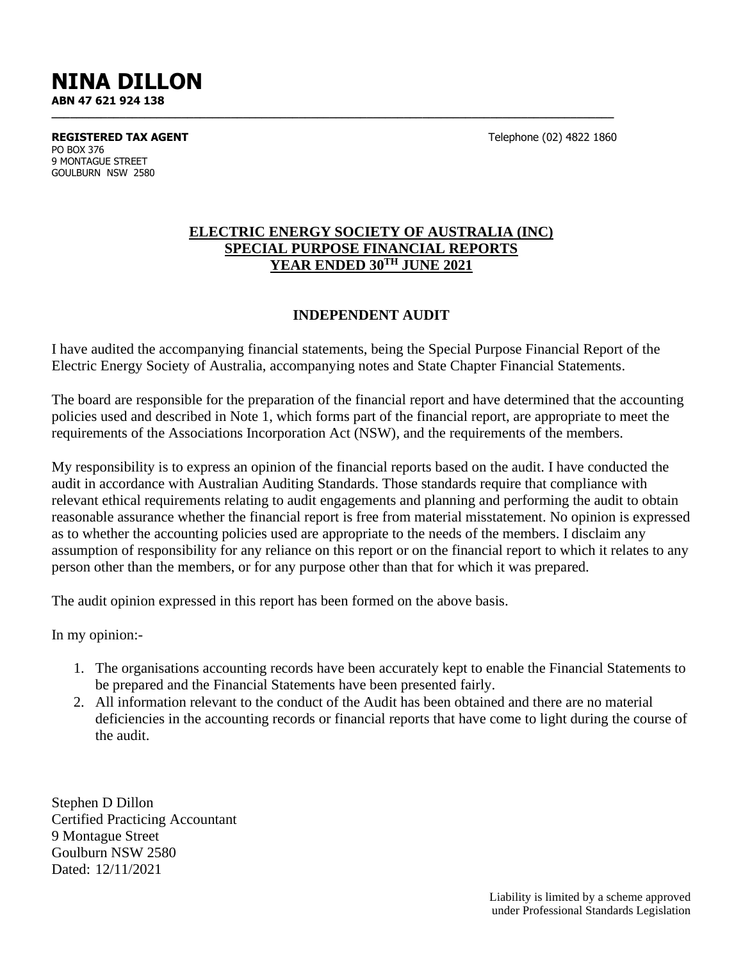# **NINA DILLON ABN 47 621 924 138**

**REGISTERED TAX AGENT** Telephone (02) 4822 1860 PO BOX 376 9 MONTAGUE STREET GOULBURN NSW 2580

#### **ELECTRIC ENERGY SOCIETY OF AUSTRALIA (INC) SPECIAL PURPOSE FINANCIAL REPORTS YEAR ENDED 30TH JUNE 2021**

**\_\_\_\_\_\_\_\_\_\_\_\_\_\_\_\_\_\_\_\_\_\_\_\_\_\_\_\_\_\_\_\_\_\_\_\_\_\_\_\_\_\_\_\_\_\_\_\_\_\_\_\_\_\_\_\_\_\_\_\_\_\_\_\_\_\_\_\_\_\_\_\_\_\_\_\_\_\_\_\_\_\_\_\_\_\_\_\_\_\_\_**

#### **INDEPENDENT AUDIT**

I have audited the accompanying financial statements, being the Special Purpose Financial Report of the Electric Energy Society of Australia, accompanying notes and State Chapter Financial Statements.

The board are responsible for the preparation of the financial report and have determined that the accounting policies used and described in Note 1, which forms part of the financial report, are appropriate to meet the requirements of the Associations Incorporation Act (NSW), and the requirements of the members.

My responsibility is to express an opinion of the financial reports based on the audit. I have conducted the audit in accordance with Australian Auditing Standards. Those standards require that compliance with relevant ethical requirements relating to audit engagements and planning and performing the audit to obtain reasonable assurance whether the financial report is free from material misstatement. No opinion is expressed as to whether the accounting policies used are appropriate to the needs of the members. I disclaim any assumption of responsibility for any reliance on this report or on the financial report to which it relates to any person other than the members, or for any purpose other than that for which it was prepared.

The audit opinion expressed in this report has been formed on the above basis.

In my opinion:-

- 1. The organisations accounting records have been accurately kept to enable the Financial Statements to be prepared and the Financial Statements have been presented fairly.
- 2. All information relevant to the conduct of the Audit has been obtained and there are no material deficiencies in the accounting records or financial reports that have come to light during the course of the audit.

Stephen D Dillon Certified Practicing Accountant 9 Montague Street Goulburn NSW 2580 Dated: 12/11/2021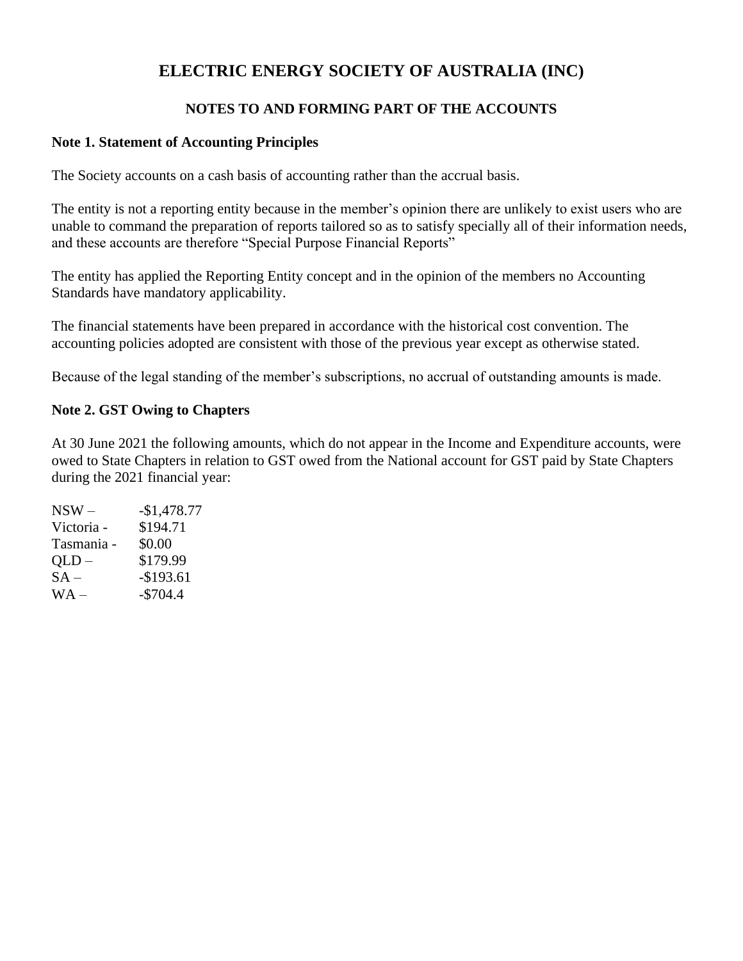# **ELECTRIC ENERGY SOCIETY OF AUSTRALIA (INC)**

### **NOTES TO AND FORMING PART OF THE ACCOUNTS**

#### **Note 1. Statement of Accounting Principles**

The Society accounts on a cash basis of accounting rather than the accrual basis.

The entity is not a reporting entity because in the member's opinion there are unlikely to exist users who are unable to command the preparation of reports tailored so as to satisfy specially all of their information needs, and these accounts are therefore "Special Purpose Financial Reports"

The entity has applied the Reporting Entity concept and in the opinion of the members no Accounting Standards have mandatory applicability.

The financial statements have been prepared in accordance with the historical cost convention. The accounting policies adopted are consistent with those of the previous year except as otherwise stated.

Because of the legal standing of the member's subscriptions, no accrual of outstanding amounts is made.

#### **Note 2. GST Owing to Chapters**

At 30 June 2021 the following amounts, which do not appear in the Income and Expenditure accounts, were owed to State Chapters in relation to GST owed from the National account for GST paid by State Chapters during the 2021 financial year:

| $-$1,478.77$ |
|--------------|
| \$194.71     |
| \$0.00       |
| \$179.99     |
| $-$193.61$   |
| $-$704.4$    |
|              |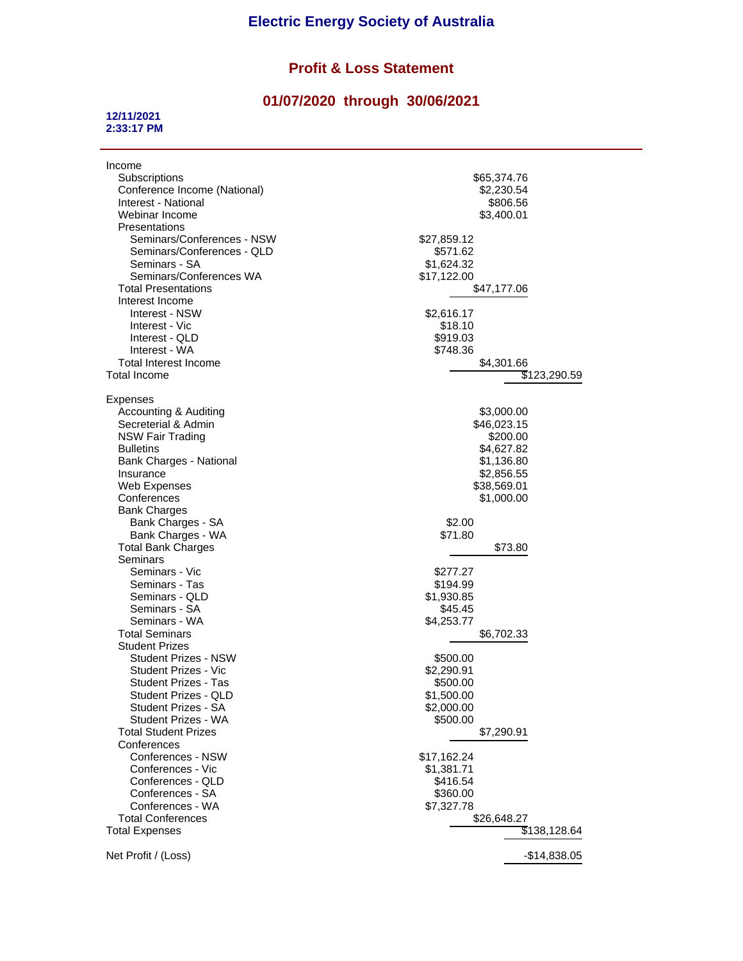# **Profit & Loss Statement**

# **01/07/2020 through 30/06/2021**

#### **12/11/2021 2:33:17 PM**

| Income<br>Subscriptions<br>Conference Income (National)<br>Interest - National<br>Webinar Income<br>Presentations<br>Seminars/Conferences - NSW<br>Seminars/Conferences - QLD<br>Seminars - SA<br>Seminars/Conferences WA<br><b>Total Presentations</b><br>Interest Income<br>Interest - NSW<br>Interest - Vic<br>Interest - QLD | \$65,374.76<br>\$2,230.54<br>\$806.56<br>\$3,400.01<br>\$27,859.12<br>\$571.62<br>\$1,624.32<br>\$17,122.00<br>\$47,177.06<br>\$2,616.17<br>\$18.10<br>\$919.03 |
|----------------------------------------------------------------------------------------------------------------------------------------------------------------------------------------------------------------------------------------------------------------------------------------------------------------------------------|-----------------------------------------------------------------------------------------------------------------------------------------------------------------|
| Interest - WA                                                                                                                                                                                                                                                                                                                    | \$748.36                                                                                                                                                        |
| Total Interest Income                                                                                                                                                                                                                                                                                                            | \$4,301.66                                                                                                                                                      |
| Total Income                                                                                                                                                                                                                                                                                                                     | \$123,290.59                                                                                                                                                    |
|                                                                                                                                                                                                                                                                                                                                  |                                                                                                                                                                 |
| <b>Expenses</b>                                                                                                                                                                                                                                                                                                                  |                                                                                                                                                                 |
| <b>Accounting &amp; Auditing</b>                                                                                                                                                                                                                                                                                                 | \$3,000.00                                                                                                                                                      |
| Secreterial & Admin                                                                                                                                                                                                                                                                                                              | \$46,023.15                                                                                                                                                     |
| <b>NSW Fair Trading</b>                                                                                                                                                                                                                                                                                                          | \$200.00                                                                                                                                                        |
| <b>Bulletins</b>                                                                                                                                                                                                                                                                                                                 | \$4,627.82                                                                                                                                                      |
| Bank Charges - National                                                                                                                                                                                                                                                                                                          | \$1,136.80                                                                                                                                                      |
| Insurance                                                                                                                                                                                                                                                                                                                        | \$2,856.55                                                                                                                                                      |
| Web Expenses                                                                                                                                                                                                                                                                                                                     | \$38,569.01                                                                                                                                                     |
| Conferences                                                                                                                                                                                                                                                                                                                      | \$1,000.00                                                                                                                                                      |
| <b>Bank Charges</b>                                                                                                                                                                                                                                                                                                              |                                                                                                                                                                 |
| Bank Charges - SA                                                                                                                                                                                                                                                                                                                | \$2.00                                                                                                                                                          |
| Bank Charges - WA                                                                                                                                                                                                                                                                                                                | \$71.80                                                                                                                                                         |
| <b>Total Bank Charges</b>                                                                                                                                                                                                                                                                                                        | \$73.80                                                                                                                                                         |
| Seminars                                                                                                                                                                                                                                                                                                                         |                                                                                                                                                                 |
| Seminars - Vic                                                                                                                                                                                                                                                                                                                   | \$277.27                                                                                                                                                        |
| Seminars - Tas                                                                                                                                                                                                                                                                                                                   | \$194.99                                                                                                                                                        |
| Seminars - QLD                                                                                                                                                                                                                                                                                                                   | \$1,930.85                                                                                                                                                      |
| Seminars - SA                                                                                                                                                                                                                                                                                                                    | \$45.45                                                                                                                                                         |
| Seminars - WA                                                                                                                                                                                                                                                                                                                    | \$4,253.77                                                                                                                                                      |
| Total Seminars                                                                                                                                                                                                                                                                                                                   | \$6,702.33                                                                                                                                                      |
| <b>Student Prizes</b>                                                                                                                                                                                                                                                                                                            |                                                                                                                                                                 |
| Student Prizes - NSW                                                                                                                                                                                                                                                                                                             | \$500.00                                                                                                                                                        |
| Student Prizes - Vic                                                                                                                                                                                                                                                                                                             | \$2,290.91                                                                                                                                                      |
| Student Prizes - Tas                                                                                                                                                                                                                                                                                                             | \$500.00                                                                                                                                                        |
| Student Prizes - QLD                                                                                                                                                                                                                                                                                                             | \$1,500.00                                                                                                                                                      |
| Student Prizes - SA                                                                                                                                                                                                                                                                                                              | \$2,000.00                                                                                                                                                      |
| Student Prizes - WA                                                                                                                                                                                                                                                                                                              | \$500.00                                                                                                                                                        |
| <b>Total Student Prizes</b>                                                                                                                                                                                                                                                                                                      | \$7,290.91                                                                                                                                                      |
| Conferences                                                                                                                                                                                                                                                                                                                      |                                                                                                                                                                 |
| Conferences - NSW                                                                                                                                                                                                                                                                                                                | \$17,162.24                                                                                                                                                     |
| Conferences - Vic                                                                                                                                                                                                                                                                                                                | \$1,381.71                                                                                                                                                      |
| Conferences - QLD                                                                                                                                                                                                                                                                                                                | \$416.54                                                                                                                                                        |
| Conferences - SA                                                                                                                                                                                                                                                                                                                 | \$360.00                                                                                                                                                        |
| Conferences - WA                                                                                                                                                                                                                                                                                                                 | \$7,327.78                                                                                                                                                      |
| <b>Total Conferences</b>                                                                                                                                                                                                                                                                                                         | \$26,648.27                                                                                                                                                     |
| <b>Total Expenses</b>                                                                                                                                                                                                                                                                                                            | \$138,128.64                                                                                                                                                    |
| Net Profit / (Loss)                                                                                                                                                                                                                                                                                                              |                                                                                                                                                                 |
|                                                                                                                                                                                                                                                                                                                                  | $-$14,838.05$                                                                                                                                                   |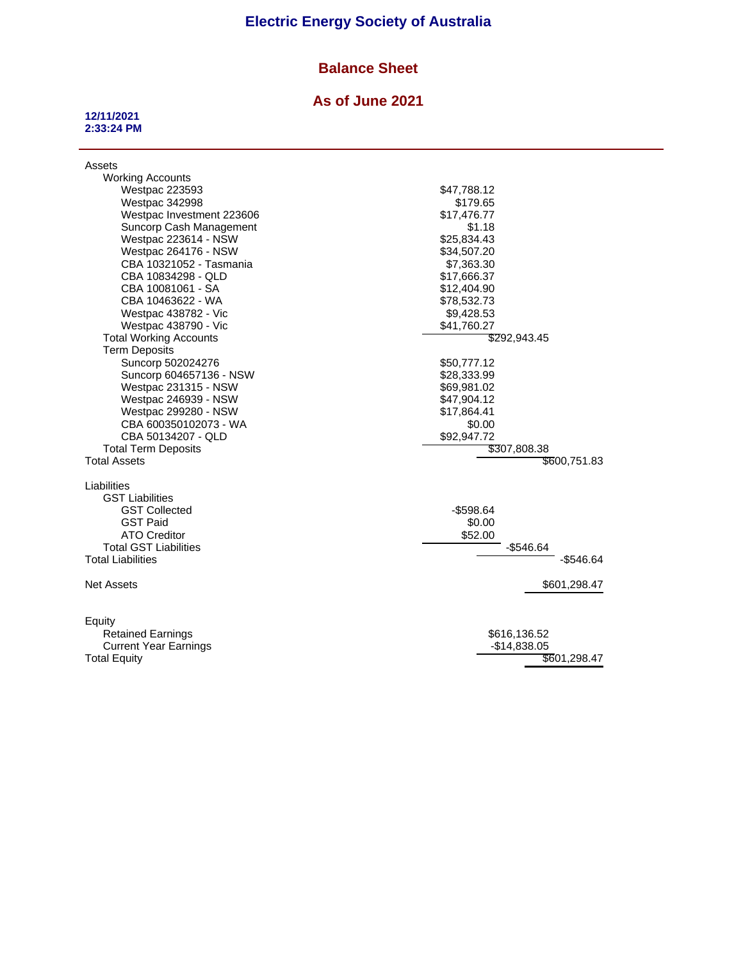# **Electric Energy Society of Australia**

# **Balance Sheet**

#### **As of June 2021**

#### **12/11/2021 2:33:24 PM**

| Assets<br><b>Working Accounts</b> |               |
|-----------------------------------|---------------|
| <b>Westpac 223593</b>             | \$47,788.12   |
| <b>Westpac 342998</b>             | \$179.65      |
| Westpac Investment 223606         | \$17,476.77   |
| Suncorp Cash Management           | \$1.18        |
| Westpac 223614 - NSW              | \$25,834.43   |
| Westpac 264176 - NSW              | \$34,507.20   |
| CBA 10321052 - Tasmania           | \$7,363.30    |
| CBA 10834298 - QLD                | \$17,666.37   |
| CBA 10081061 - SA                 | \$12,404.90   |
| CBA 10463622 - WA                 | \$78,532.73   |
| Westpac 438782 - Vic              | \$9,428.53    |
| Westpac 438790 - Vic              | \$41,760.27   |
| <b>Total Working Accounts</b>     | \$292,943.45  |
| <b>Term Deposits</b>              |               |
| Suncorp 502024276                 | \$50,777.12   |
| Suncorp 604657136 - NSW           | \$28,333.99   |
| Westpac 231315 - NSW              | \$69,981.02   |
| Westpac 246939 - NSW              | \$47,904.12   |
| Westpac 299280 - NSW              | \$17,864.41   |
| CBA 600350102073 - WA             | \$0.00        |
| CBA 50134207 - QLD                | \$92,947.72   |
| <b>Total Term Deposits</b>        | \$307,808.38  |
| <b>Total Assets</b>               | \$600,751.83  |
|                                   |               |
| Liabilities                       |               |
| <b>GST Liabilities</b>            |               |
| <b>GST Collected</b>              | $-$598.64$    |
| <b>GST Paid</b>                   | \$0.00        |
| <b>ATO Creditor</b>               | \$52.00       |
| <b>Total GST Liabilities</b>      | $-$546.64$    |
| <b>Total Liabilities</b>          | $-$ \$546.64  |
|                                   |               |
| <b>Net Assets</b>                 | \$601,298.47  |
|                                   |               |
|                                   |               |
| Equity                            |               |
| <b>Retained Earnings</b>          | \$616,136.52  |
| <b>Current Year Earnings</b>      | $-$14,838.05$ |
| <b>Total Equity</b>               | \$601,298.47  |
|                                   |               |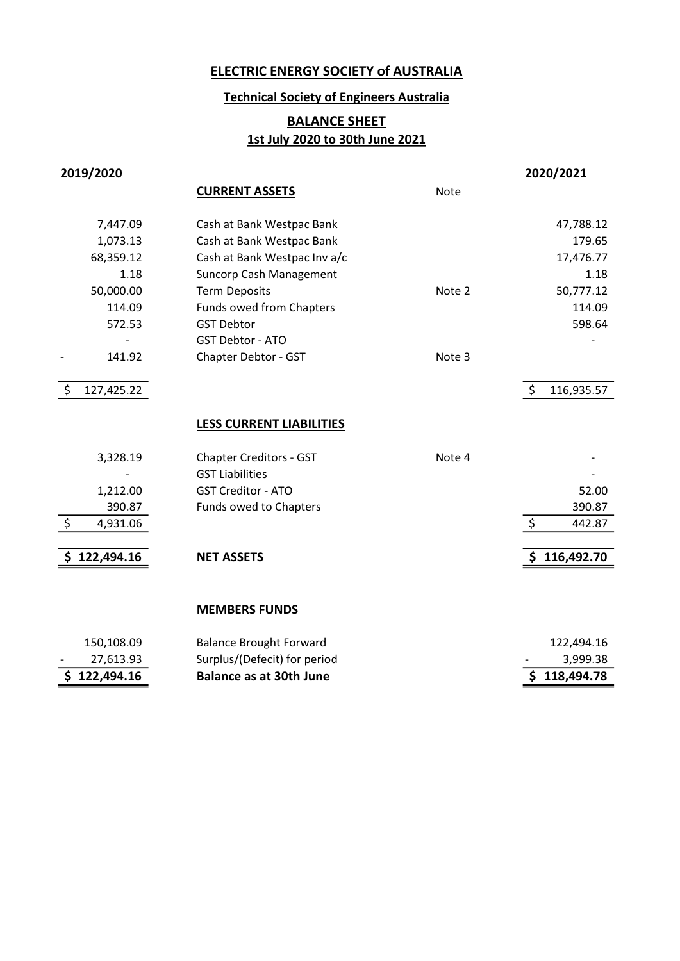# Technical Society of Engineers Australia

# **BALANCE SHEET** 1st July 2020 to 30th June 2021

| 2019/2020        |                                 |             | 2020/2021        |
|------------------|---------------------------------|-------------|------------------|
|                  | <b>CURRENT ASSETS</b>           | <b>Note</b> |                  |
| 7,447.09         | Cash at Bank Westpac Bank       |             | 47,788.12        |
| 1,073.13         | Cash at Bank Westpac Bank       |             | 179.65           |
| 68,359.12        | Cash at Bank Westpac Inv a/c    |             | 17,476.77        |
| 1.18             | <b>Suncorp Cash Management</b>  |             | 1.18             |
| 50,000.00        | <b>Term Deposits</b>            | Note 2      | 50,777.12        |
| 114.09           | <b>Funds owed from Chapters</b> |             | 114.09           |
| 572.53           | <b>GST Debtor</b>               |             | 598.64           |
|                  | <b>GST Debtor - ATO</b>         |             |                  |
| 141.92           | Chapter Debtor - GST            | Note 3      |                  |
|                  |                                 |             |                  |
| \$<br>127,425.22 |                                 |             | \$<br>116,935.57 |
|                  | <b>LESS CURRENT LIABILITIES</b> |             |                  |
| 3,328.19         | <b>Chapter Creditors - GST</b>  | Note 4      |                  |
|                  | <b>GST Liabilities</b>          |             |                  |
| 1,212.00         | <b>GST Creditor - ATO</b>       |             | 52.00            |
| 390.87           | Funds owed to Chapters          |             | 390.87           |
| \$<br>4,931.06   |                                 |             | \$<br>442.87     |
|                  |                                 |             |                  |
| \$122,494.16     | <b>NET ASSETS</b>               |             | \$116,492.70     |
|                  | <b>MEMBERS FUNDS</b>            |             |                  |
| 150,108.09       | <b>Balance Brought Forward</b>  |             | 122,494.16       |
| 27,613.93        | Surplus/(Defecit) for period    |             | 3,999.38         |
| \$122,494.16     | <b>Balance as at 30th June</b>  |             | \$118,494.78     |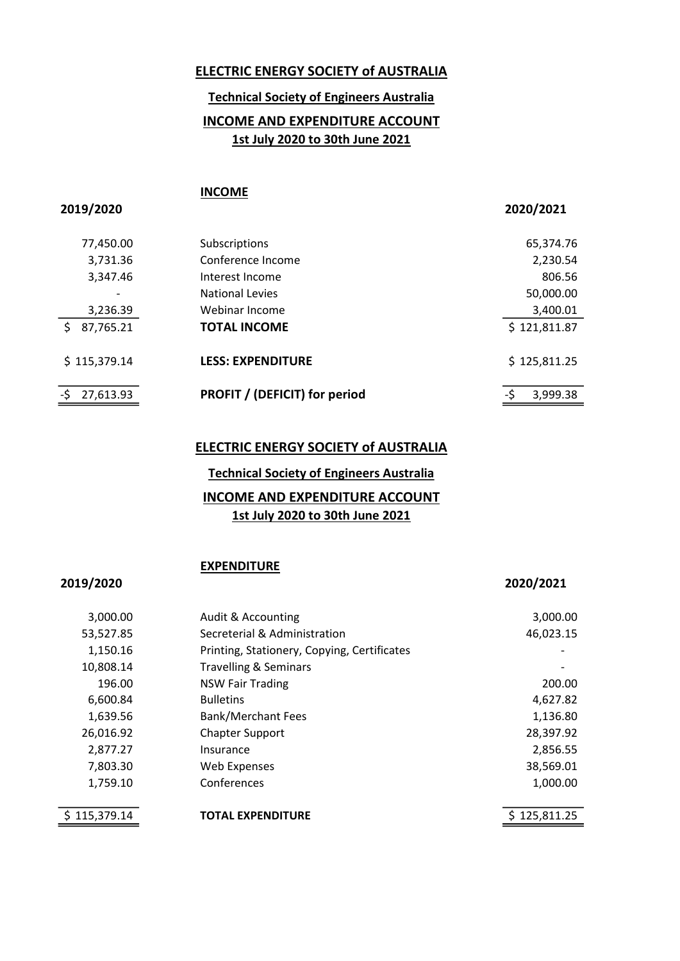# Technical Society of Engineers Australia

# INCOME AND EXPENDITURE ACCOUNT 1st July 2020 to 30th June 2021

#### INCOME

2019/2020 2020/2021

| 77,450.00                    | Subscriptions                        | 65,374.76       |
|------------------------------|--------------------------------------|-----------------|
| 3,731.36                     | Conference Income                    | 2,230.54        |
| 3,347.46                     | Interest Income                      | 806.56          |
| $\qquad \qquad \blacksquare$ | <b>National Levies</b>               | 50,000.00       |
| 3,236.39                     | Webinar Income                       | 3,400.01        |
| 87,765.21                    | <b>TOTAL INCOME</b>                  | \$121,811.87    |
| \$115,379.14                 | <b>LESS: EXPENDITURE</b>             | \$125,811.25    |
| 27,613.93                    | <b>PROFIT / (DEFICIT) for period</b> | -\$<br>3,999.38 |

### ELECTRIC ENERGY SOCIETY of AUSTRALIA

# INCOME AND EXPENDITURE ACCOUNT Technical Society of Engineers Australia

#### 1st July 2020 to 30th June 2021

#### **EXPENDITURE**

#### 2019/2020 2020/2021

| 3,000.00     | Audit & Accounting                          | 3,000.00     |
|--------------|---------------------------------------------|--------------|
| 53,527.85    | Secreterial & Administration                | 46,023.15    |
| 1,150.16     | Printing, Stationery, Copying, Certificates |              |
| 10,808.14    | <b>Travelling &amp; Seminars</b>            |              |
| 196.00       | <b>NSW Fair Trading</b>                     | 200.00       |
| 6,600.84     | <b>Bulletins</b>                            | 4,627.82     |
| 1,639.56     | <b>Bank/Merchant Fees</b>                   | 1,136.80     |
| 26,016.92    | <b>Chapter Support</b>                      | 28,397.92    |
| 2,877.27     | Insurance                                   | 2,856.55     |
| 7,803.30     | <b>Web Expenses</b>                         | 38,569.01    |
| 1,759.10     | Conferences                                 | 1,000.00     |
|              |                                             |              |
| \$115,379.14 | <b>TOTAL EXPENDITURE</b>                    | \$125,811.25 |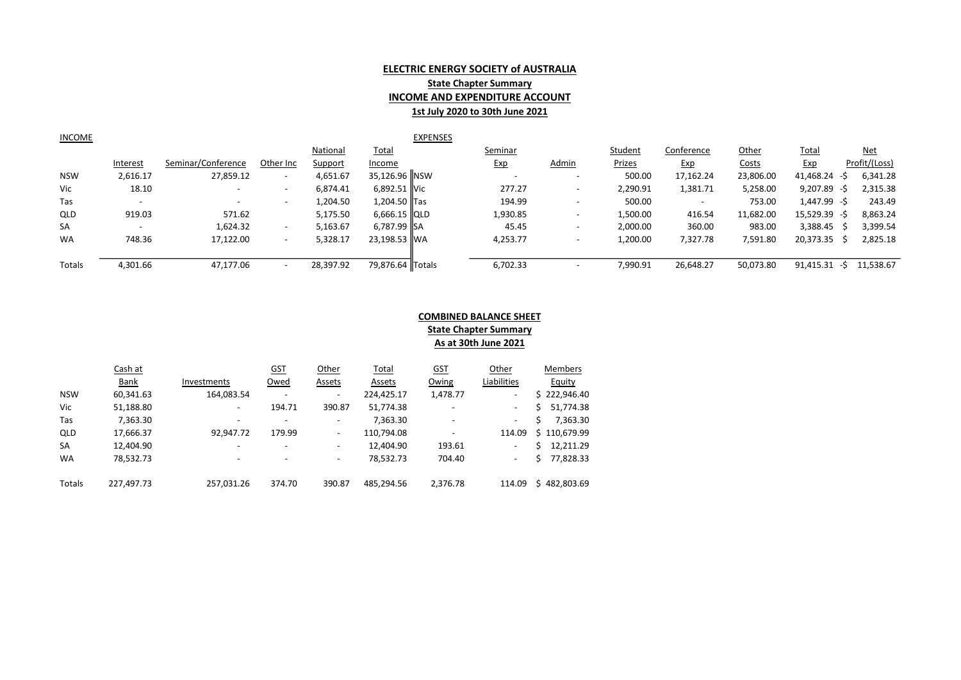#### ELECTRIC ENERGY SOCIETY of AUSTRALIA **State Chapter Summary** INCOME AND EXPENDITURE ACCOUNT 1st July 2020 to 30th June 2021

| INCOME | <b>EXPENSES</b> |
|--------|-----------------|
|        |                 |

|            |                 |                          |                          | National  | <b>Total</b>           | Seminar  |                          | Student       | Conference               | Other        | <b>Total</b>    | <u>Net</u>    |
|------------|-----------------|--------------------------|--------------------------|-----------|------------------------|----------|--------------------------|---------------|--------------------------|--------------|-----------------|---------------|
|            | <u>Interest</u> | Seminar/Conference       | Other Inc                | Support   | Income                 | Exp      | <b>Admin</b>             | <b>Prizes</b> | <u>Exp</u>               | <b>Costs</b> | <u>Exp</u>      | Profit/(Loss) |
| <b>NSW</b> | 2,616.17        | 27,859.12                | $\overline{\phantom{0}}$ | 4,651.67  | 35,126.96 NSW          |          | $\overline{\phantom{0}}$ | 500.00        | 17,162.24                | 23,806.00    | 41,468.24 -\$   | 6,341.28      |
| Vic        | 18.10           | $\overline{\phantom{0}}$ |                          | 6.874.41  | 6,892.51 Vic           | 277.27   | $\overline{\phantom{0}}$ | 2,290.91      | 1,381.71                 | 5,258.00     | $9,207.89 - $$  | 2,315.38      |
| Tas        |                 | $\sim$                   | $\overline{\phantom{0}}$ | 1,204.50  | .,204.50 Tas           | 194.99   | $\overline{\phantom{a}}$ | 500.00        | $\overline{\phantom{0}}$ | 753.00       | 1,447.99 -\$    | 243.49        |
| <b>QLD</b> | 919.03          | 571.62                   |                          | 5,175.50  | $6.666.15$ $\vert$ QLD | 1,930.85 | $\overline{\phantom{0}}$ | 1,500.00      | 416.54                   | 11,682.00    | $15,529.39 - $$ | 8,863.24      |
| SA         |                 | 1,624.32                 | $\overline{\phantom{0}}$ | 5,163.67  | 6,787.99 ISA           | 45.45    | ۰                        | 2,000.00      | 360.00                   | 983.00       | 3,388.45        | 3,399.54      |
| <b>WA</b>  | 748.36          | 17,122.00                | $\overline{\phantom{0}}$ | 5,328.17  | 23.198.53 IWA          | 4.253.77 | ۰                        | 1,200.00      | 7,327.78                 | 7,591.80     | 20,373.35       | 2,825.18      |
|            |                 |                          |                          |           |                        |          |                          |               |                          |              |                 |               |
| Totals     | 4,301.66        | 47.177.06                |                          | 28,397.92 | 79,876.64 Totals       | 6,702.33 | $\overline{\phantom{a}}$ | 7,990.91      | 26,648.27                | 50,073.80    | 91,415.31<br>-S | 11,538.67     |

#### COMBINED BALANCE SHEET **State Chapter Summary** As at 30th June 2021

|            | Cash at    |                          | <u>GST</u>               | Other                    | <b>Total</b> | <u>GST</u>               | Other                    | Members          |
|------------|------------|--------------------------|--------------------------|--------------------------|--------------|--------------------------|--------------------------|------------------|
|            | Bank       | Investments              | Owed                     | Assets                   | Assets       | Owing                    | Liabilities              | Equity           |
| <b>NSW</b> | 60,341.63  | 164,083.54               | $\overline{\phantom{0}}$ | $\overline{\phantom{a}}$ | 224,425.17   | 1,478.77                 | $\overline{\phantom{0}}$ | \$222,946.40     |
| Vic        | 51,188.80  | -                        | 194.71                   | 390.87                   | 51,774.38    | $\overline{\phantom{0}}$ | -                        | 51,774.38<br>Ś   |
| Tas        | 7,363.30   | $\overline{a}$           | $\overline{\phantom{a}}$ | $\overline{\phantom{a}}$ | 7,363.30     | $\overline{\phantom{a}}$ | $\overline{\phantom{0}}$ | 7,363.30         |
| QLD        | 17,666.37  | 92,947.72                | 179.99                   | -                        | 110,794.08   | $\overline{\phantom{0}}$ | 114.09                   | 110,679.99<br>S. |
| <b>SA</b>  | 12,404.90  | $\overline{\phantom{a}}$ | $\overline{\phantom{a}}$ | -                        | 12,404.90    | 193.61                   | $\overline{\phantom{0}}$ | 12.211.29        |
| WA         | 78,532.73  | $\overline{a}$           | $\overline{\phantom{a}}$ | $\overline{\phantom{a}}$ | 78,532.73    | 704.40                   | -                        | 77,828.33<br>ς   |
| Totals     | 227,497.73 | 257,031.26               | 374.70                   | 390.87                   | 485,294.56   | 2,376.78                 | 114.09                   | 482.803.69<br>S. |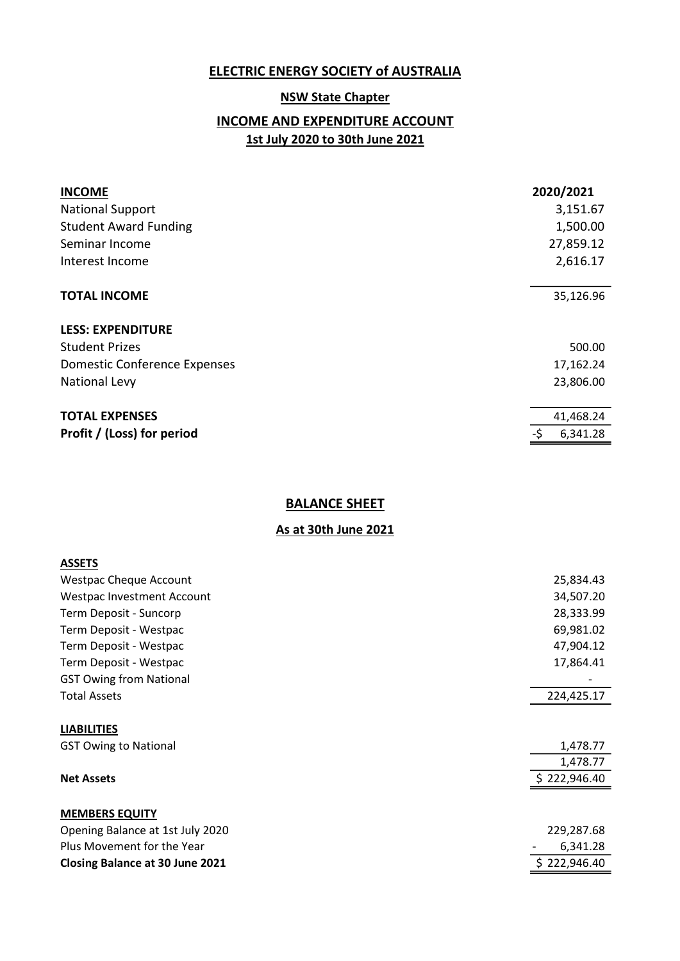#### **NSW State Chapter**

# INCOME AND EXPENDITURE ACCOUNT 1st July 2020 to 30th June 2021

| <b>INCOME</b>                       | 2020/2021       |
|-------------------------------------|-----------------|
| <b>National Support</b>             | 3,151.67        |
| <b>Student Award Funding</b>        | 1,500.00        |
| Seminar Income                      | 27,859.12       |
| Interest Income                     | 2,616.17        |
|                                     |                 |
| <b>TOTAL INCOME</b>                 | 35,126.96       |
| <b>LESS: EXPENDITURE</b>            |                 |
| <b>Student Prizes</b>               | 500.00          |
| <b>Domestic Conference Expenses</b> | 17,162.24       |
| National Levy                       | 23,806.00       |
|                                     |                 |
| <b>TOTAL EXPENSES</b>               | 41,468.24       |
| Profit / (Loss) for period          | -\$<br>6,341.28 |

#### **BALANCE SHEET**

| <b>ASSETS</b>                          |              |
|----------------------------------------|--------------|
| <b>Westpac Cheque Account</b>          | 25,834.43    |
| Westpac Investment Account             | 34,507.20    |
| Term Deposit - Suncorp                 | 28,333.99    |
| Term Deposit - Westpac                 | 69,981.02    |
| Term Deposit - Westpac                 | 47,904.12    |
| Term Deposit - Westpac                 | 17,864.41    |
| <b>GST Owing from National</b>         |              |
| <b>Total Assets</b>                    | 224,425.17   |
| <b>LIABILITIES</b>                     |              |
| <b>GST Owing to National</b>           | 1,478.77     |
|                                        | 1,478.77     |
| <b>Net Assets</b>                      | \$222,946.40 |
| <b>MEMBERS EQUITY</b>                  |              |
| Opening Balance at 1st July 2020       | 229,287.68   |
| Plus Movement for the Year             | 6,341.28     |
| <b>Closing Balance at 30 June 2021</b> | \$222,946.40 |
|                                        |              |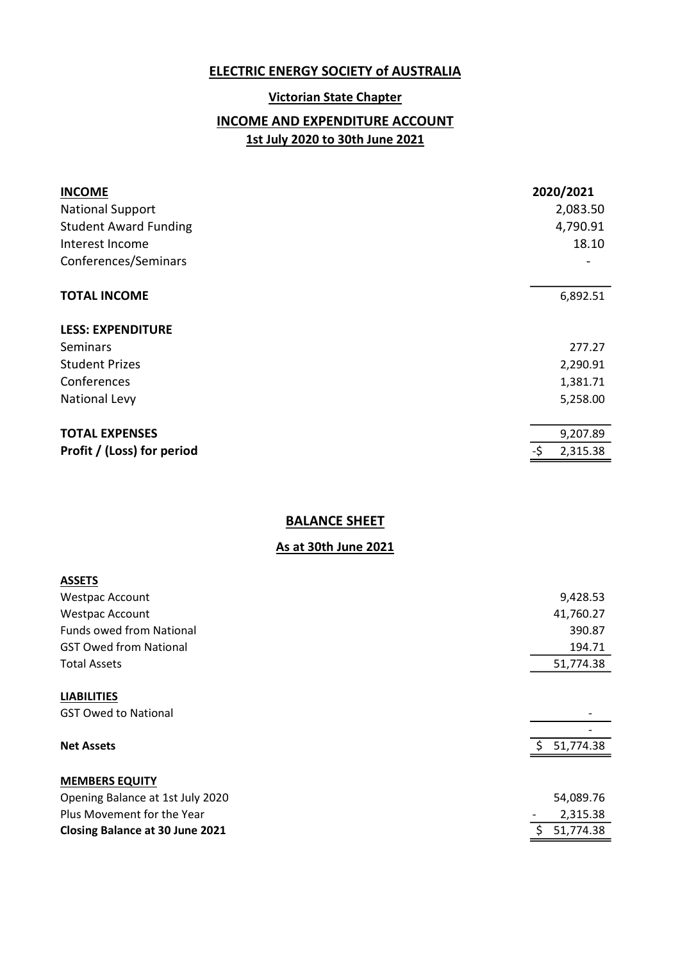#### Victorian State Chapter

# INCOME AND EXPENDITURE ACCOUNT 1st July 2020 to 30th June 2021

| <b>INCOME</b><br><b>National Support</b><br><b>Student Award Funding</b><br>Interest Income<br>Conferences/Seminars |    | 2020/2021<br>2,083.50<br>4,790.91<br>18.10 |
|---------------------------------------------------------------------------------------------------------------------|----|--------------------------------------------|
|                                                                                                                     |    |                                            |
| <b>TOTAL INCOME</b>                                                                                                 |    | 6,892.51                                   |
| <b>LESS: EXPENDITURE</b>                                                                                            |    |                                            |
| Seminars                                                                                                            |    | 277.27                                     |
| <b>Student Prizes</b>                                                                                               |    | 2,290.91                                   |
| Conferences                                                                                                         |    | 1,381.71                                   |
| <b>National Levy</b>                                                                                                |    | 5,258.00                                   |
|                                                                                                                     |    |                                            |
| <b>TOTAL EXPENSES</b>                                                                                               |    | 9,207.89                                   |
| Profit / (Loss) for period                                                                                          | -S | 2,315.38                                   |
|                                                                                                                     |    |                                            |

# BALANCE SHEET

| <b>ASSETS</b>                                     |    |           |
|---------------------------------------------------|----|-----------|
| <b>Westpac Account</b>                            |    | 9,428.53  |
| <b>Westpac Account</b>                            |    | 41,760.27 |
| <b>Funds owed from National</b>                   |    | 390.87    |
| <b>GST Owed from National</b>                     |    | 194.71    |
| <b>Total Assets</b>                               |    | 51,774.38 |
| <b>LIABILITIES</b><br><b>GST Owed to National</b> |    |           |
| <b>Net Assets</b>                                 | -Ś | 51,774.38 |
| <b>MEMBERS EQUITY</b>                             |    |           |
| Opening Balance at 1st July 2020                  |    | 54,089.76 |
| Plus Movement for the Year                        |    | 2,315.38  |
| <b>Closing Balance at 30 June 2021</b>            | \$ | 51,774.38 |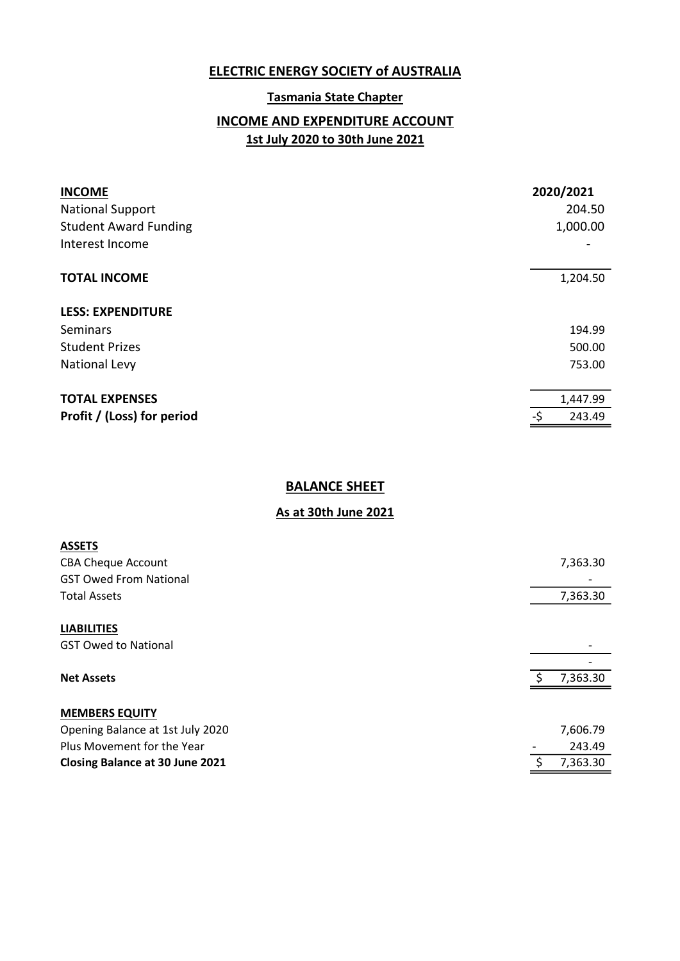#### Tasmania State Chapter

# INCOME AND EXPENDITURE ACCOUNT 1st July 2020 to 30th June 2021

| <b>INCOME</b><br><b>National Support</b><br><b>Student Award Funding</b><br>Interest Income |     | 2020/2021<br>204.50<br>1,000.00 |
|---------------------------------------------------------------------------------------------|-----|---------------------------------|
| <b>TOTAL INCOME</b>                                                                         |     | 1,204.50                        |
| <b>LESS: EXPENDITURE</b>                                                                    |     |                                 |
| <b>Seminars</b>                                                                             |     | 194.99                          |
| <b>Student Prizes</b>                                                                       |     | 500.00                          |
| <b>National Levy</b>                                                                        |     | 753.00                          |
| <b>TOTAL EXPENSES</b>                                                                       |     | 1,447.99                        |
| Profit / (Loss) for period                                                                  | -\$ | 243.49                          |

# **BALANCE SHEET**

| <b>ASSETS</b>                          |    |          |
|----------------------------------------|----|----------|
| <b>CBA Cheque Account</b>              |    | 7,363.30 |
| <b>GST Owed From National</b>          |    |          |
| <b>Total Assets</b>                    |    | 7,363.30 |
| <b>LIABILITIES</b>                     |    |          |
| <b>GST Owed to National</b>            |    |          |
|                                        |    |          |
| <b>Net Assets</b>                      |    | 7,363.30 |
| <b>MEMBERS EQUITY</b>                  |    |          |
| Opening Balance at 1st July 2020       |    | 7,606.79 |
| Plus Movement for the Year             |    | 243.49   |
| <b>Closing Balance at 30 June 2021</b> | S. | 7,363.30 |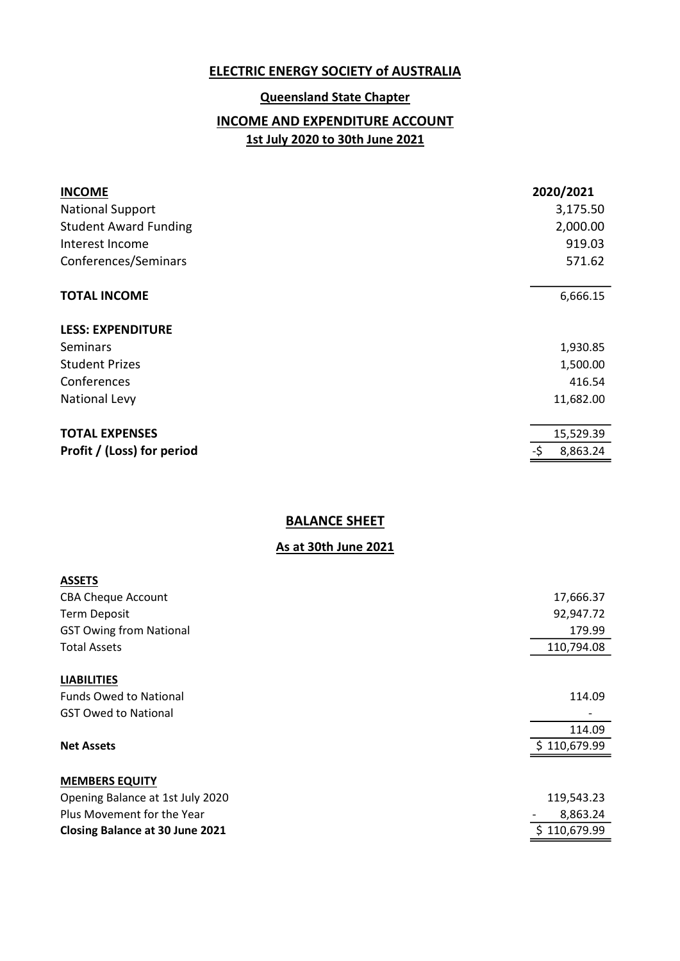#### Queensland State Chapter

# INCOME AND EXPENDITURE ACCOUNT 1st July 2020 to 30th June 2021

| <b>INCOME</b>                | 2020/2021       |
|------------------------------|-----------------|
| <b>National Support</b>      | 3,175.50        |
| <b>Student Award Funding</b> | 2,000.00        |
| Interest Income              | 919.03          |
| Conferences/Seminars         | 571.62          |
|                              |                 |
| <b>TOTAL INCOME</b>          | 6,666.15        |
| <b>LESS: EXPENDITURE</b>     |                 |
| Seminars                     | 1,930.85        |
| <b>Student Prizes</b>        | 1,500.00        |
| Conferences                  | 416.54          |
| <b>National Levy</b>         | 11,682.00       |
|                              |                 |
| <b>TOTAL EXPENSES</b>        | 15,529.39       |
| Profit / (Loss) for period   | -\$<br>8,863.24 |
|                              |                 |

# BALANCE SHEET

| <b>ASSETS</b>                          |              |
|----------------------------------------|--------------|
| <b>CBA Cheque Account</b>              | 17,666.37    |
| <b>Term Deposit</b>                    | 92,947.72    |
| <b>GST Owing from National</b>         | 179.99       |
| <b>Total Assets</b>                    | 110,794.08   |
|                                        |              |
| <b>LIABILITIES</b>                     |              |
| <b>Funds Owed to National</b>          | 114.09       |
| <b>GST Owed to National</b>            |              |
|                                        | 114.09       |
| <b>Net Assets</b>                      | \$110,679.99 |
|                                        |              |
| <b>MEMBERS EQUITY</b>                  |              |
| Opening Balance at 1st July 2020       | 119,543.23   |
| Plus Movement for the Year             | 8,863.24     |
| <b>Closing Balance at 30 June 2021</b> | 110,679.99   |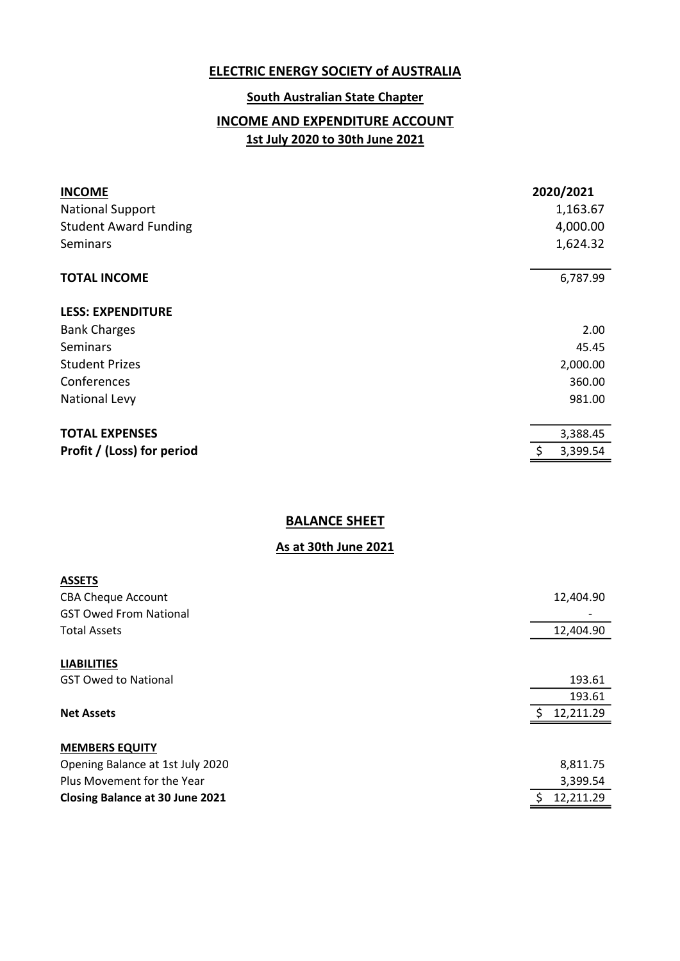#### South Australian State Chapter

# INCOME AND EXPENDITURE ACCOUNT 1st July 2020 to 30th June 2021

| <b>INCOME</b><br><b>National Support</b><br><b>Student Award Funding</b><br><b>Seminars</b> | 2020/2021<br>1,163.67<br>4,000.00<br>1,624.32 |
|---------------------------------------------------------------------------------------------|-----------------------------------------------|
| <b>TOTAL INCOME</b>                                                                         | 6,787.99                                      |
| <b>LESS: EXPENDITURE</b>                                                                    |                                               |
| <b>Bank Charges</b>                                                                         | 2.00                                          |
| Seminars                                                                                    | 45.45                                         |
| <b>Student Prizes</b>                                                                       | 2,000.00                                      |
| Conferences                                                                                 | 360.00                                        |
| <b>National Levy</b>                                                                        | 981.00                                        |
| <b>TOTAL EXPENSES</b>                                                                       | 3,388.45                                      |
| Profit / (Loss) for period                                                                  | 3,399.54                                      |
|                                                                                             |                                               |

# BALANCE SHEET

| <b>ASSETS</b>                          |                 |
|----------------------------------------|-----------------|
| <b>CBA Cheque Account</b>              | 12,404.90       |
| <b>GST Owed From National</b>          |                 |
| <b>Total Assets</b>                    | 12,404.90       |
|                                        |                 |
| <b>LIABILITIES</b>                     |                 |
| <b>GST Owed to National</b>            | 193.61          |
|                                        | 193.61          |
| <b>Net Assets</b>                      | ς.<br>12,211.29 |
|                                        |                 |
| <b>MEMBERS EQUITY</b>                  |                 |
| Opening Balance at 1st July 2020       | 8,811.75        |
| Plus Movement for the Year             | 3,399.54        |
| <b>Closing Balance at 30 June 2021</b> | ς.<br>12,211.29 |